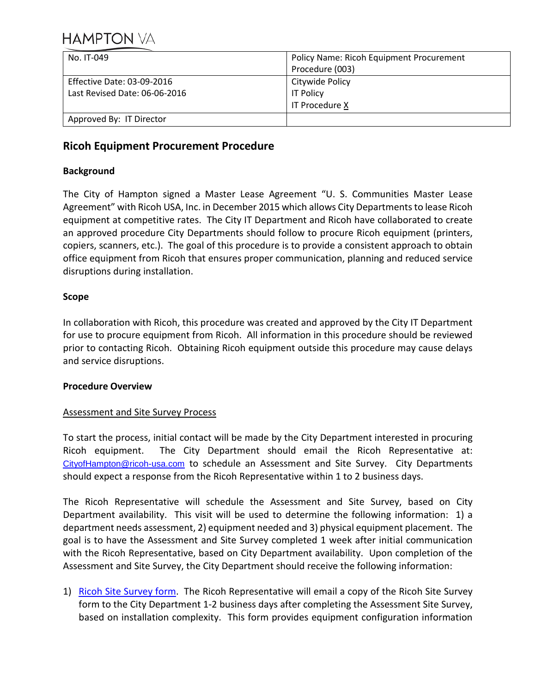| No. IT-049                    | <b>Policy Name: Ricoh Equipment Procurement</b> |
|-------------------------------|-------------------------------------------------|
|                               | Procedure (003)                                 |
| Effective Date: 03-09-2016    | Citywide Policy                                 |
| Last Revised Date: 06-06-2016 | <b>IT Policy</b>                                |
|                               | IT Procedure X                                  |
| Approved By: IT Director      |                                                 |

## **Ricoh Equipment Procurement Procedure**

## **Background**

The City of Hampton signed a Master Lease Agreement "U. S. Communities Master Lease Agreement" with Ricoh USA, Inc. in December 2015 which allows City Departments to lease Ricoh equipment at competitive rates. The City IT Department and Ricoh have collaborated to create an approved procedure City Departments should follow to procure Ricoh equipment (printers, copiers, scanners, etc.). The goal of this procedure is to provide a consistent approach to obtain office equipment from Ricoh that ensures proper communication, planning and reduced service disruptions during installation.

## **Scope**

In collaboration with Ricoh, this procedure was created and approved by the City IT Department for use to procure equipment from Ricoh. All information in this procedure should be reviewed prior to contacting Ricoh. Obtaining Ricoh equipment outside this procedure may cause delays and service disruptions.

### **Procedure Overview**

## Assessment and Site Survey Process

To start the process, initial contact will be made by the City Department interested in procuring Ricoh equipment. The City Department should email the Ricoh Representative at: [CityofHampton@ricoh-usa.com](mailto:CityofHampton@ricoh-usa.com) to schedule an Assessment and Site Survey. City Departments should expect a response from the Ricoh Representative within 1 to 2 business days.

The Ricoh Representative will schedule the Assessment and Site Survey, based on City Department availability. This visit will be used to determine the following information: 1) a department needs assessment, 2) equipment needed and 3) physical equipment placement. The goal is to have the Assessment and Site Survey completed 1 week after initial communication with the Ricoh Representative, based on City Department availability. Upon completion of the Assessment and Site Survey, the City Department should receive the following information:

1) [Ricoh Site Survey](#page-4-0) form. The Ricoh Representative will email a copy of the Ricoh Site Survey form to the City Department 1-2 business days after completing the Assessment Site Survey, based on installation complexity. This form provides equipment configuration information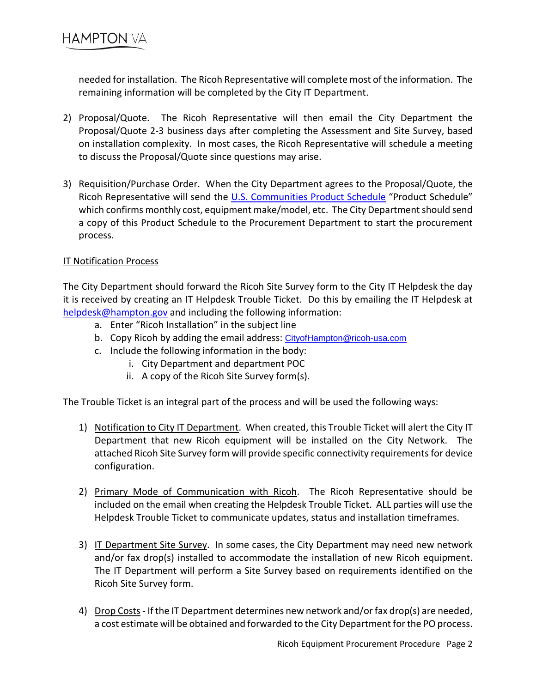needed for installation. The Ricoh Representative will complete most of the information. The remaining information will be completed by the City IT Department.

- 2) Proposal/Quote. The Ricoh Representative will then email the City Department the Proposal/Quote 2-3 business days after completing the Assessment and Site Survey, based on installation complexity. In most cases, the Ricoh Representative will schedule a meeting to discuss the Proposal/Quote since questions may arise.
- 3) Requisition/Purchase Order. When the City Department agrees to the Proposal/Quote, the Ricoh Representative will send the [U.S. Communities Product Schedule](#page-6-0) "Product Schedule" which confirms monthly cost, equipment make/model, etc. The City Department should send a copy of this Product Schedule to the Procurement Department to start the procurement process.

## IT Notification Process

The City Department should forward the Ricoh Site Survey form to the City IT Helpdesk the day it is received by creating an IT Helpdesk Trouble Ticket. Do this by emailing the IT Helpdesk at [helpdesk@hampton.gov](mailto:helpdesk@hampton.gov) and including the following information:

- a. Enter "Ricoh Installation" in the subject line
- b. Copy Ricoh by adding the email address: [CityofHampton@ricoh-usa.com](mailto:CityofHampton@ricoh-usa.com)
- c. Include the following information in the body:
	- i. City Department and department POC
	- ii. A copy of the Ricoh Site Survey form(s).

The Trouble Ticket is an integral part of the process and will be used the following ways:

- 1) Notification to City IT Department. When created, this Trouble Ticket will alert the City IT Department that new Ricoh equipment will be installed on the City Network. The attached Ricoh Site Survey form will provide specific connectivity requirements for device configuration.
- 2) Primary Mode of Communication with Ricoh. The Ricoh Representative should be included on the email when creating the Helpdesk Trouble Ticket. ALL parties will use the Helpdesk Trouble Ticket to communicate updates, status and installation timeframes.
- 3) IT Department Site Survey. In some cases, the City Department may need new network and/or fax drop(s) installed to accommodate the installation of new Ricoh equipment. The IT Department will perform a Site Survey based on requirements identified on the Ricoh Site Survey form.
- 4) Drop Costs If the IT Department determines new network and/or fax drop(s) are needed, a cost estimate will be obtained and forwarded to the City Department for the PO process.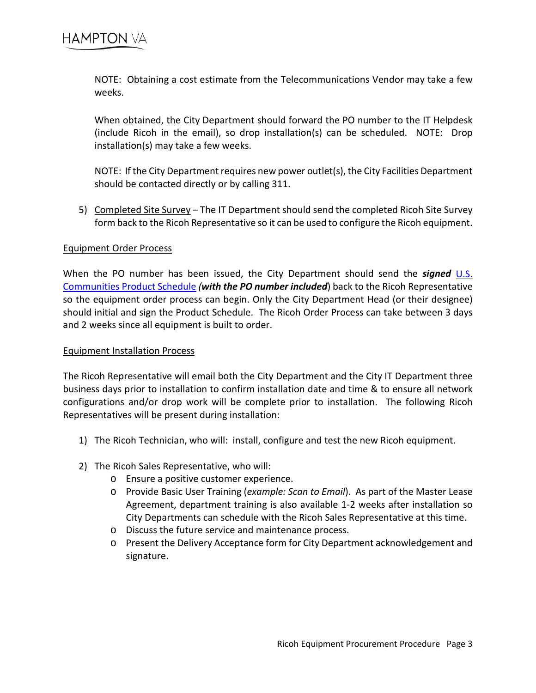NOTE: Obtaining a cost estimate from the Telecommunications Vendor may take a few weeks.

When obtained, the City Department should forward the PO number to the IT Helpdesk (include Ricoh in the email), so drop installation(s) can be scheduled. NOTE: Drop installation(s) may take a few weeks.

NOTE: If the City Department requires new power outlet(s), the City Facilities Department should be contacted directly or by calling 311.

5) Completed Site Survey – The IT Department should send the completed Ricoh Site Survey form back to the Ricoh Representative so it can be used to configure the Ricoh equipment.

### Equipment Order Process

When the PO number has been issued, the City Department should send the *signed* [U.S.](#page-6-0)  [Communities Product Schedule](#page-6-0) *(with the PO number included*) back to the Ricoh Representative so the equipment order process can begin. Only the City Department Head (or their designee) should initial and sign the Product Schedule. The Ricoh Order Process can take between 3 days and 2 weeks since all equipment is built to order.

### Equipment Installation Process

The Ricoh Representative will email both the City Department and the City IT Department three business days prior to installation to confirm installation date and time & to ensure all network configurations and/or drop work will be complete prior to installation. The following Ricoh Representatives will be present during installation:

- 1) The Ricoh Technician, who will: install, configure and test the new Ricoh equipment.
- 2) The Ricoh Sales Representative, who will:
	- o Ensure a positive customer experience.
	- o Provide Basic User Training (*example: Scan to Email*). As part of the Master Lease Agreement, department training is also available 1-2 weeks after installation so City Departments can schedule with the Ricoh Sales Representative at this time.
	- o Discuss the future service and maintenance process.
	- o Present the Delivery Acceptance form for City Department acknowledgement and signature.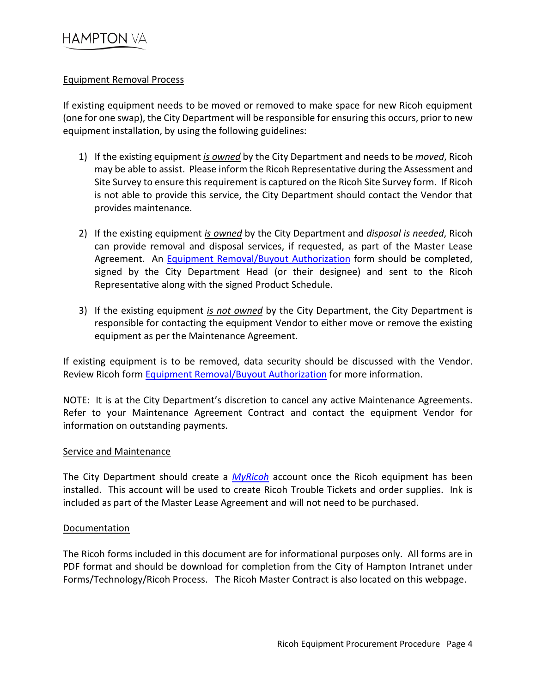### Equipment Removal Process

If existing equipment needs to be moved or removed to make space for new Ricoh equipment (one for one swap), the City Department will be responsible for ensuring this occurs, prior to new equipment installation, by using the following guidelines:

- 1) If the existing equipment *is owned* by the City Department and needs to be *moved*, Ricoh may be able to assist. Please inform the Ricoh Representative during the Assessment and Site Survey to ensure this requirement is captured on the Ricoh Site Survey form. If Ricoh is not able to provide this service, the City Department should contact the Vendor that provides maintenance.
- 2) If the existing equipment *is owned* by the City Department and *disposal is needed*, Ricoh can provide removal and disposal services, if requested, as part of the Master Lease Agreement. An [Equipment Removal/Buyout Authorization](#page-9-0) form should be completed, signed by the City Department Head (or their designee) and sent to the Ricoh Representative along with the signed Product Schedule.
- 3) If the existing equipment *is not owned* by the City Department, the City Department is responsible for contacting the equipment Vendor to either move or remove the existing equipment as per the Maintenance Agreement.

If existing equipment is to be removed, data security should be discussed with the Vendor. Review Ricoh form [Equipment Removal/Buyout Authorization](#page-9-0) for more information.

NOTE: It is at the City Department's discretion to cancel any active Maintenance Agreements. Refer to your Maintenance Agreement Contract and contact the equipment Vendor for information on outstanding payments.

### Service and Maintenance

The City Department should create a *[MyRicoh](https://www.ricoh-usa.com/myricoh.aspx)* account once the Ricoh equipment has been installed. This account will be used to create Ricoh Trouble Tickets and order supplies. Ink is included as part of the Master Lease Agreement and will not need to be purchased.

### **Documentation**

The Ricoh forms included in this document are for informational purposes only. All forms are in PDF format and should be download for completion from the City of Hampton Intranet under Forms/Technology/Ricoh Process. The Ricoh Master Contract is also located on this webpage.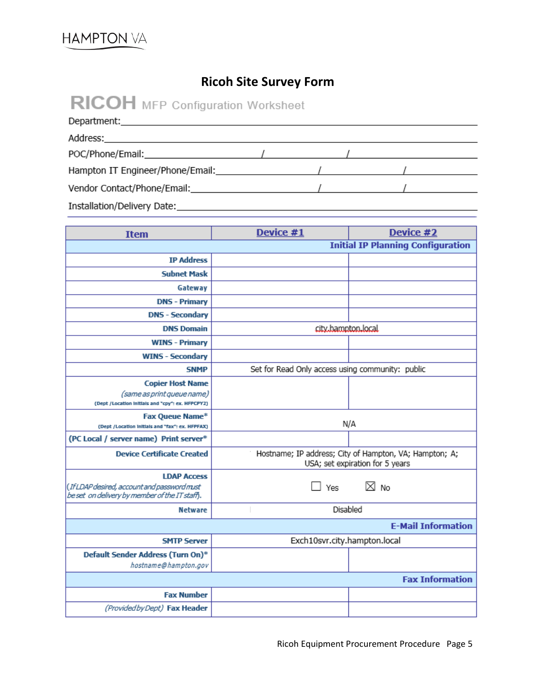## **Ricoh Site Survey Form**

<span id="page-4-0"></span>

| <b>RICOH</b> MFP Configuration Worksheet                                                                                                                                                                                       |  |  |  |  |  |  |
|--------------------------------------------------------------------------------------------------------------------------------------------------------------------------------------------------------------------------------|--|--|--|--|--|--|
|                                                                                                                                                                                                                                |  |  |  |  |  |  |
|                                                                                                                                                                                                                                |  |  |  |  |  |  |
|                                                                                                                                                                                                                                |  |  |  |  |  |  |
|                                                                                                                                                                                                                                |  |  |  |  |  |  |
|                                                                                                                                                                                                                                |  |  |  |  |  |  |
| Installation/Delivery Date: Note: Note: Note: Note: Note: Note: Note: Note: Note: Note: Note: Note: Note: Note: Note: Note: Note: Note: Note: Note: Note: Note: Note: Note: Note: Note: Note: Note: Note: Note: Note: Note: No |  |  |  |  |  |  |

| <b>Item</b>                                                                                                        | Device #1                                        | Device #2                                                                                 |
|--------------------------------------------------------------------------------------------------------------------|--------------------------------------------------|-------------------------------------------------------------------------------------------|
|                                                                                                                    |                                                  | <b>Initial IP Planning Configuration</b>                                                  |
| <b>IP Address</b>                                                                                                  |                                                  |                                                                                           |
| <b>Subnet Mask</b>                                                                                                 |                                                  |                                                                                           |
| Gateway                                                                                                            |                                                  |                                                                                           |
| <b>DNS - Primary</b>                                                                                               |                                                  |                                                                                           |
| <b>DNS - Secondary</b>                                                                                             |                                                  |                                                                                           |
| <b>DNS Domain</b>                                                                                                  | city.hampton.local                               |                                                                                           |
| <b>WINS - Primary</b>                                                                                              |                                                  |                                                                                           |
| <b>WINS - Secondary</b>                                                                                            |                                                  |                                                                                           |
| <b>SNMP</b>                                                                                                        | Set for Read Only access using community: public |                                                                                           |
| <b>Copier Host Name</b><br>(same as print queue name)<br>(Dept / Location Initials and "cpy": ex. HFPCPY2)         |                                                  |                                                                                           |
| <b>Fax Queue Name*</b><br>(Dept /Location initials and "fax": ex. HFPFAX)                                          |                                                  | N/A                                                                                       |
| (PC Local / server name) Print server*                                                                             |                                                  |                                                                                           |
| <b>Device Certificate Created</b>                                                                                  |                                                  | Hostname; IP address; City of Hampton, VA; Hampton; A;<br>USA; set expiration for 5 years |
| <b>LDAP Access</b><br>(If LDAP desired, account and password must<br>beset on delivery by member of the IT staff). | Yes                                              | $\boxtimes$ No                                                                            |
| <b>Netware</b>                                                                                                     | Disabled                                         |                                                                                           |
|                                                                                                                    |                                                  | <b>E-Mail Information</b>                                                                 |
| <b>SMTP Server</b>                                                                                                 | Exch10svr.city.hampton.local                     |                                                                                           |
| Default Sender Address (Turn On)*<br>hostname@hampton.gov                                                          |                                                  |                                                                                           |
|                                                                                                                    |                                                  | <b>Fax Information</b>                                                                    |
| <b>Fax Number</b>                                                                                                  |                                                  |                                                                                           |
| (Provided by Dept) Fax Header                                                                                      |                                                  |                                                                                           |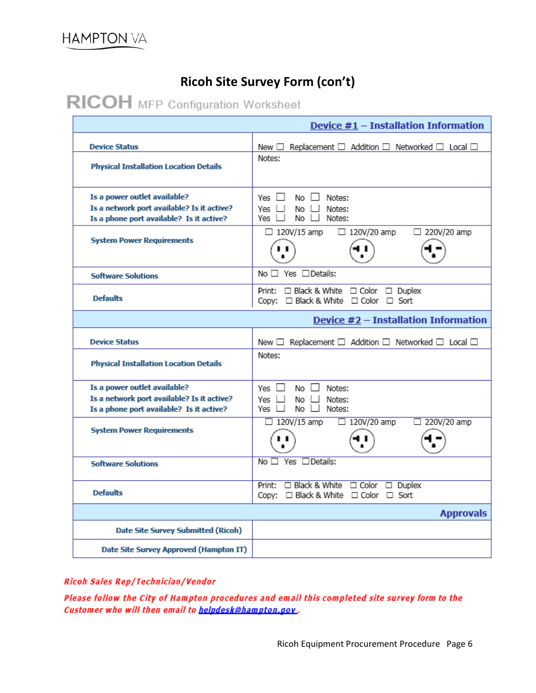## **Ricoh Site Survey Form (con't)**

# RICOH MFP Configuration Worksheet

|                                                                                                                        | Device $#1$ – Installation Information                                                      |
|------------------------------------------------------------------------------------------------------------------------|---------------------------------------------------------------------------------------------|
| <b>Device Status</b><br><b>Physical Installation Location Details</b>                                                  | Replacement $\Box$ Addition $\Box$ Networked $\Box$ Local $\Box$<br>New $\square$<br>Notes: |
| Is a power outlet available?<br>Is a network port available? Is it active?<br>Is a phone port available? Is it active? | $No \Box$ Notes:<br>Yes 凵<br>No $\Box$ Notes:<br>Yes II<br>Yes $\Box$<br>No Li<br>Notes:    |
| <b>System Power Requirements</b>                                                                                       | $\Box$ 120V/15 amp<br>□ 220V/20 amp<br>$\Box$ 120V/20 amp                                   |
| <b>Software Solutions</b>                                                                                              | No $\Box$ Yes $\Box$ Details:                                                               |
| <b>Defaults</b>                                                                                                        | Print: □ Black & White □ Color □ Duplex<br>Copy: □ Black & White □ Color □ Sort             |
|                                                                                                                        | Device #2 - Installation Information                                                        |
| <b>Device Status</b>                                                                                                   | New $\Box$ Replacement $\Box$ Addition $\Box$ Networked $\Box$ Local $\Box$                 |
| <b>Physical Installation Location Details</b>                                                                          | Notes:                                                                                      |
| Is a power outlet available?                                                                                           | Yes □<br>Notes:<br>No Li                                                                    |
| Is a network port available? Is it active?                                                                             | Yes ∐<br>$No \Box$<br>Notes:                                                                |
| Is a phone port available? Is it active?                                                                               | Yes ∐<br>$No \Box$ Notes:                                                                   |
| <b>System Power Requirements</b>                                                                                       | 220V/20 amp<br>$\Box$ 120V/15 amp<br>$\Box$ 120V/20 amp                                     |
| <b>Software Solutions</b>                                                                                              | $No \Box Yes \Box Details:$                                                                 |
| <b>Defaults</b>                                                                                                        | Print: □ Black & White □ Color □ Duplex<br>Copy: □ Black & White □ Color □ Sort             |
|                                                                                                                        | <b>Approvals</b>                                                                            |
| Date Site Survey Submitted (Ricoh)                                                                                     |                                                                                             |
| Date Site Survey Approved (Hampton IT)                                                                                 |                                                                                             |

### Ricoh Sales Rep/Technician/Vendor

Please follow the City of Hampton procedures and email this completed site survey form to the Customer who will then email to helpdesk@hampton.gov.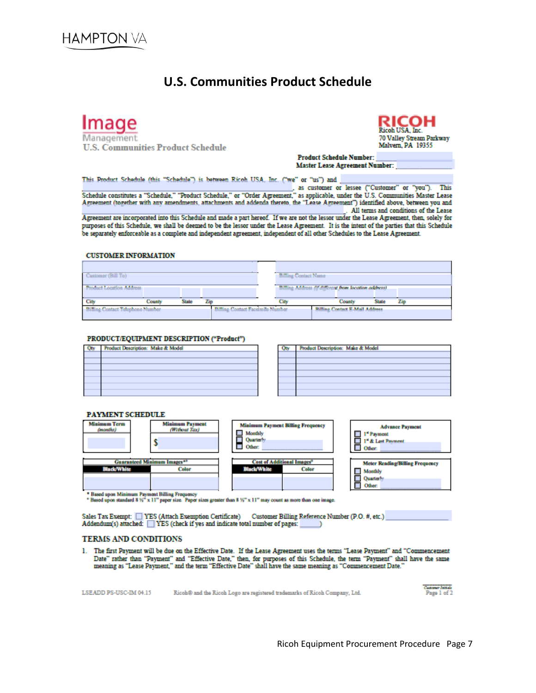## **U.S. Communities Product Schedule**

<span id="page-6-0"></span>Image nagement **U.S. Communities Product Schedule** 



**Product Schedule Number: Master Lease Agreement Number:** 

This Product Schedule (this "Schedule") is between Ricoh USA, Inc. ("we" or "us") and

Schedule constitutes a "Schedule," "Product Schedule," or "Order Agreement," as applicable, under the U.S. Communities Master Lease Agreement (together with any amendments, attachments and addenda thereto, the "Lease Agreement") identified above, between you and . All terms and conditions of the Lease

Agreement are incorporated into this Schedule and made a part hereof. If we are not the lessor under the Lease Agreement, then, solely for purposes of this Schedule, we shall be deemed to be the lessor under the Lease Agreement. It is the intent of the parties that this Schedule be separately enforceable as a complete and independent agreement, independent of all other Schedules to the Lease Agreement.

#### **CUSTOMER INFORMATION**

| Customer (Bill To)                 |        |       |     | <b>Billing Contact Name</b>              |  |                                                      |       |     |
|------------------------------------|--------|-------|-----|------------------------------------------|--|------------------------------------------------------|-------|-----|
| Product Location Address           |        |       |     |                                          |  | Billing Address (If different from location address) |       |     |
| City                               | County | State | Zin | City                                     |  | County                                               | State | Zip |
| -Billing Contact Telephone Number- |        |       |     | <b>Billing Contact Facelmile Number-</b> |  | <b>Billing Contact E-Mail Address</b> .              |       |     |

#### PRODUCT/EOUIPMENT DESCRIPTION ("Product")

| Product Description: Make & Model |
|-----------------------------------|
|                                   |
|                                   |
|                                   |
|                                   |
|                                   |
|                                   |
|                                   |

| Product Description: Make & Model |
|-----------------------------------|
|                                   |
|                                   |
|                                   |
|                                   |
|                                   |
|                                   |
|                                   |
|                                   |

#### **PAYMENT SCHEDULE**



Sales Tax Exempt: TVES (Attach Exemption Certificate) Customer Billing Reference Number (P.O. #, etc.) Addendum(s) attached: VES (check if yes and indicate total number of pages:

#### **TERMS AND CONDITIONS**

1. The first Payment will be due on the Effective Date. If the Lease Agreement uses the terms "Lease Payment" and "Commencement Date" rather than "Payment" and "Effective Date," then, for purposes of this Schedule, the ter

| LSEADD PS-USC-IM 04.15 |  | Ricoh® and the Ricoh Logo are registered trademarks of Ricoh Company, Ltd. |  |
|------------------------|--|----------------------------------------------------------------------------|--|
|------------------------|--|----------------------------------------------------------------------------|--|

Customer Initials<br>Page 1 of 2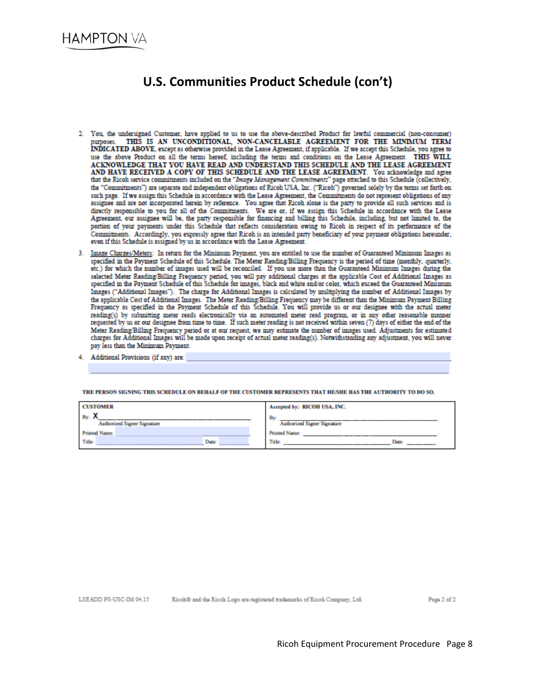## U.S. Communities Product Schedule (con't)

- 2. You, the undersigned Customer, have applied to us to use the above-described Product for lawful commercial (non-consumer) THIS IS AN UNCONDITIONAL, NON-CANCELABLE AGREEMENT FOR THE MINIMUM TERM purposes. THIS IS AN UNCONDITIONAL, NON-CANCELABLE AGREEMENT TON THE MELGEVIL THIS ISLAMIC INDICATED ABOVE, except as otherwise provided in the Lease Agreement, if applicable. If we accept this Schedule, you agree to use the above Product on all the terms hereof, including the terms and conditions on the Lease Agreement. THIS WILL ACKNOWLEDGE THAT YOU HAVE READ AND UNDERSTAND THIS SCHEDULE AND THE LEASE AGREEMENT AND HAVE RECEIVED A COPY OF THIS SCHEDULE AND THE LEASE AGREEMENT. You acknowledge and agree that the Ricoh service commitments included on the "Image Management Commitments" page attached to this Schedule (collectively, the "Commitments") are separate and independent obligations of Ricoh USA, Inc. ("Ricoh") governed solely by the terms set forth on such page. If we assign this Schedule in accordance with the Lease Agreement, the Commitments do not represent obligations of any assignee and are not incorporated herein by reference. You agree that Ricoh alone is the party to provide all such services and is directly responsible to you for all of the Commitments. We are or, if we assign this Schedule in accordance with the Lease Agreement, our assignee will be, the party responsible for financing and billing this Schedule, including, but not limited to, the portion of your payments under this Schedule that reflects consideration owing to Ricoh in respect of its performance of the Commitments. Accordingly, you expressly agree that Ricoh is an intended party beneficiary of your payment obligations hereunder, even if this Schedule is assigned by us in accordance with the Lease Agreement
- 3. Image Charges/Meters: In return for the Minimum Payment, you are entitled to use the number of Guaranteed Minimum Images as specified in the Payment Schedule of this Schedule. The Meter Reading/Billing Frequency is the period of time (monthly, quarterly, etc.) for which the number of images used will be reconciled. If you use more than the Guaranteed Minimum Images during the selected Meter Reading/Billing Frequency period, you will pay additional charges at the applicable Cost of Additional Images as specified in the Payment Schedule of this Schedule for images, black and white and/or color, which exceed the Guaranteed Minimum Images ("Additional Images"). The charge for Additional Images is calculated by multiplying the number of Additional Images by the applicable Cost of Additional Images. The Meter Reading/Billing Frequency may be different than the Minimum Payment Billing Frequency as specified in the Payment Schedule of this Schedule. You will provide us or our designee with the actual meter reading(s) by submitting meter reads electronically via an automated meter read program, or in any other reasonable manner requested by us or our designee from time to time. If such meter reading is not received within seven (7) days of either the end of the Meter Reading/Billing Frequency period or at our request, we may estimate the number of images used. Adjustments for estimated<br>charges for Additional Images will be made upon receipt of actual meter reading(s). Notwithstan pay less than the Minimum Payment.
- 4. Additional Provisions (if any) are:

| <b>CUSTOMER</b>                                         |  |  | Accepted by: RICOH USA, INC.      |  |
|---------------------------------------------------------|--|--|-----------------------------------|--|
| $\tilde{}$<br>By:<br><b>Authorized Signer Signature</b> |  |  | By<br>Authorized Signer Signature |  |
| <b>Printed Name:</b>                                    |  |  | <b>Printed Name</b>               |  |
| Title:<br><b>Date:</b><br>____________                  |  |  | Title:<br>Date                    |  |

THE PERSON SIGNING THIS SCHEDULE ON BEHALF OF THE CUSTOMER REPRESENTS THAT HE/SHE HAS THE AUTHORITY TO DO SO.

Ricoh® and the Ricoh Logo are registered trademarks of Ricoh Company, Ltd.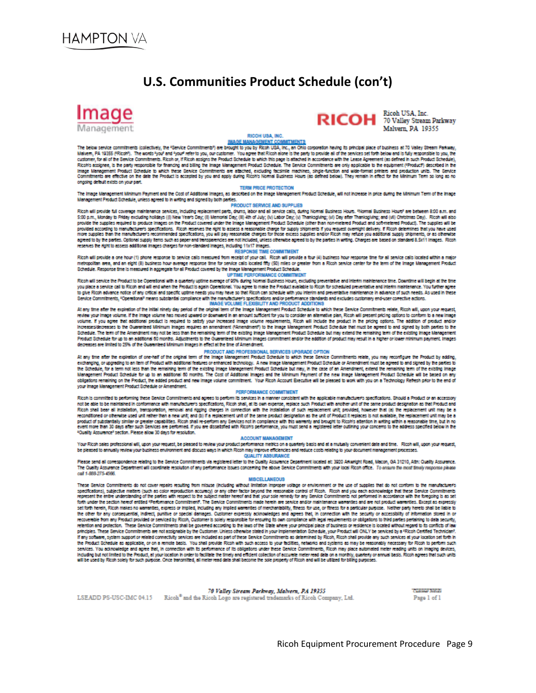## U.S. Communities Product Schedule (con't)



# RICOH <sup>Ricoh USA, Inc.</sup>

Malvern PA 10355

#### **DISOU USA INC.**

MAGE MANAGEMENT COMMITMENTS<br>The below service commitments (collectively, the "Service Commitments") are brought to you by Ricoh USA, Inc., an Ohio corporation having its principal place of business at 70 Valley Stream Park Makern, PA 19355 (FRicold). The words have and hour refer to you, our custome. You agree that Ricoh alone is the party to provide all of the services set forth below and is fully responsible to you. the sustainer, for all of the Service Commitments. Ricch or, if Ricch assigns the Product Schedule is which this page is attached in accordance with the Lease Agreement (as defined in such Product Schedule),<br>Ricch's assigner, Image Management Product Schedule to which these Service Commitments are attached, excluding facsimile machines, single-function and wide-format printers and production units. The Service<br>Commitments are effective on the d ongoing default exists on your part.

#### **TERM PRICE PROTECTION**

The Image Management Minimum Payment and the Cost of Additional Images, as described on the Image Management Product Schedule, will not increase in price during the Minimum Term of the Image Management Product Schedule, unless agreed to in writing and signed by both parties.

#### PRODUCT SERVICE AND SUPPLIES

Ricoh will provide full coverage maintenance services, including replacement parts, drums, labor and all service calls, during Normal Business Hours, "Normal Business Hours" are between 8:00 a.m. and 5:00 p.m., Monday to Friday excluding holdays (ii) New Year's Day; (ii) Memorial Day; (ii) 4th of July; (iv) Labor Day; (v) Thanksglving; (vi) Day after Thanksglving; and (vii) Christmas Day). Ricoh will also provide the supplies required to produce images on the Product covered under the image Management Product Schedule (other than non-metered Product and soft-metered Product). The supplies will be provided according to manuf agreed to by the parties. Optional supply fiems such as paper and transparencies are not included, unless otherwise agreed to by the parties in writing. Changes are based on standard 8.5x11 images. Ricoh reserves the right to assess additional images charges for non-standard images, including 11x17 images.

#### RESPONSE TIME COMMITMENT

Ricoh will provide a one hour (1) phone response to service calls measured from receipt of your call. Ricoh will provide a four (4) business hour response time for all service calls located within a major an area, and an eight (8) business hour average response time for service calls located fifty (50) miles or greater from a Ricoh service center for the term of the image Management Product Schedule, Response time is measured in aggregate for all Product covered by the Image Management Product Schedule.<br>UPTIME PERFORMANCE COMMITMENT

Ricoh will service the Product to be Operational with a quarterly uptime average of 95% during Normal Business Hours, excluding preventative and interim maintenance time. Downtime will begin at the firre you place a service call to Ricoh and will end when the Product is again Operational. You agree to make the Product available to Ricoh for scheduled preventative and interim maintenance. You further agree to give Ricoh advance notice of any critical and specific uptime needs you may have so that Ricoh can schedule with you interim and preventative maintenance in advance of such needs. As used in these w year now avere note of any chus and specie upone news you may neve so wat nuclear sureage wor you memmany preventioner manerainte in such recust.<br>Service Commitments, "Operational" means substantial compliance with manuf

At any time after the expiration of the initial ninety day period of the original term of the image Management Product Schedule to which these Service Commitments relate, Ricoh will, upon your request, review your image volume. If the image volume has moved upward or downward in an amount sufficient for you to consider an alternative plan. Ricoh will present pricing options to conform to a new image volume. If you agree that additional product is required to safety your increased image volume requirements, Ricoh will include the product in the pricing options. The addition of product and/or Increases/decreases to the Guaranteed Minimum Images requires an amendment ("Amendment") to the image Management Product Schedule that must be agreed to and signed by both parties to the Schedule. The term of the Amendment may not be less than the remaining term of the existing image Management Product Schedule but may extend the remaining term of the existing image Management Product Schedule for up to an additional 60 months. Adjustments to the Guaranteed Minimum Images commitment and/or the addition of product may result in a higher or lower minimum payment. Images decreases are limited to 25% of the Guaranteed Minimum Images in effect at the time of Amendment.

#### PRODUCT AND PROFESSIONAL SERVICES UPGRADE OPTION

At any time after the explosion of one-half of the original term of the Image Management Product Schedule to which these Service Commitments relate, you may recomique the Product by adding,<br>exchanging, or upgrading to an i the Schedule, for a term not less than the remaining term of the existing image Management Product Schedule but may, in the case of an Amendment, extend the remaining term of the existing image Management Product Schedule for up to an additional 60 months. The Cost of Additional images and the Minimum Payment of the new image Management Product Schedule will be based on any obligations remeining on the Product, the added product and new image volume commitment. Your Ricoh Account Executive will be pleased to work with you on a Technology Refresh prior to the end of your image Management Product Schedule or Amendment.

#### **PERFORMANCE COMMITMENT**

Ricoh is committed to performing these Service Commitments and agrees to perform its services in a manner consistent with the applicable manufacturer's specifications. Should a Product or an accessory not be able to be maintained in conformance with manufacturer's specifications, Ricoh shall, at its own expense, replace such Product with another unit of the same product designation as that Product and Ricoh shall bear all installation, temportation, removal and rigging changes in connection with the installation of such replacement unit, provided, however that (a) the replacement unit may be a<br>reconditioned or otherwise product of substantially similar or greater capabilities. Ricoh shall re-perform any Services of the complex ce with this warranty and brought to Ricoh's attention in writing within a reasonable time, but in no<br>event more "Quality Assurence" section. Please allow 30 days for resolution.

#### ACCOUNT MANAGEMENT

Your Ricoh sales professional will, upon your request, be pleased to review your product performance metrics on a quarterly basis and at a mutually convenient date and time. Ricoh will, upon your request, be pleased to annually review your business environment and discuss ways in which Ricoh may improve efficiencies and reduce costs relating to your document management processes

ondence relating to the Service Commitments via registered letter to the Quality Assurance Department located at: 3020 Arkwright Road, Macon, GA 31210, Ath: Quality Assurance. lease send all correst The Quality Assurance Department will coordinate resolution of any performance issues concerning the above Service Commitments with your local Filcoh office. To ensure the most timely response please

#### **MISCELLANEOUS**

These Service Commitments do not cover repairs resulting from misuse (including without limitation improper voltage or environment or the use of supplies that do not conform to the manufacture/s specifications), subjective matters (such as color reproduction accuracy) or any other factor beyond the reasonable control of Filcoh. Filcoh and you each admovinelys that these Service Committ<br>represent the entre understa ance with the foregoing is as set forth under the section hereof entitled "Performance Commitment". The Service Commitments made herein are service and/or maintenance warranties and are not product warranties. Except as expressly set forth herein, Ricoh makes no warranties, express or implied, including any implied warranties of merchanitability, fitness for use, or fitness for a particular purpose. Neither party hereito shall be liab the other for any consequential, indrect, purifive or special damages. Customer expressly acknowledges and agrees that, in connection with the security or accessibility of information stored in or recoverable from any Product provided or serviced by Ricoh, Customer is solely responsible for ensuring tis own compliance with legal requirements or obligations to third parties pertaining to data security, retention and protection. These Service Commitments shall be governed according to the laws of the State where your principal place of business or residence is located without regard to its conflicts of law principles. These Service Commitments are not assignable by the Customer. Unless otherwise stated in your implementation Schedule, your Product will ONLY be serviced by a "Ricoh Certified Technician". if any sonware, system support or related connectivity services are included as part of these Service Commitments as determined by Ricoh, Ricoh shall provide any such services at your location set forth in the Product Schedule as applicable, or on a remote basis. You shall provide Ricoh with such access to your facilities, networks and systems as may be reasonably necessary for Ricoh to perform such services. You advouvedge and agree that, in connection with its performance of its obligations under these Service Commitments, Ricoh may place automated meter reading units on imaging devices, Including but not limited to the Product, at your location in order to faciliate the timely and efficient collection of accurate meter read data on a monthly, quarterly or annual basis. Ricoh agrees that such units will be used by Ricoh solely for such purpose. Once trensmitted, all meter read data shall become the sole property of Ricoh and will be utilized for billing purposes.

70 Valley Stream Parkway, Malvern, PA 19355 LSEADD PS-USC-IMC 04.15 Ricoh<sup>®</sup> and the Ricoh Logo are registered trademarks of Ricoh Company, Ltd. **Concessor Juin als** Page 1 of 1